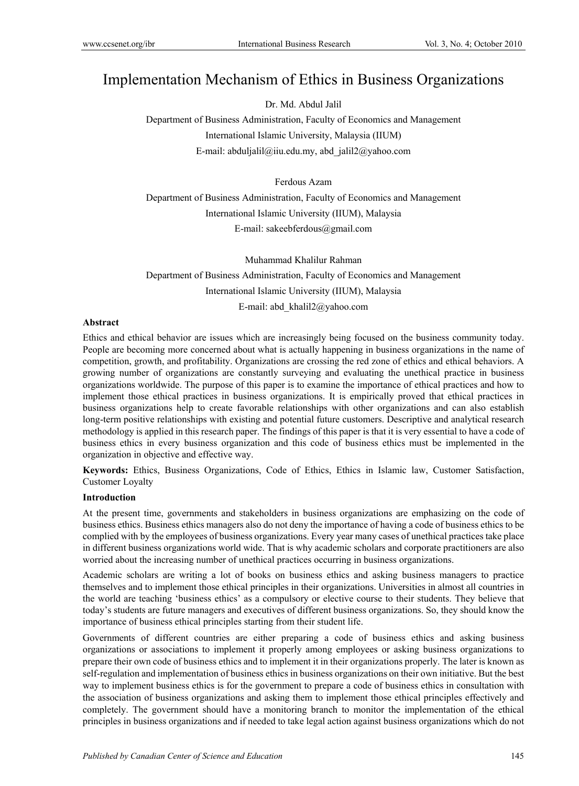# Implementation Mechanism of Ethics in Business Organizations

Dr. Md. Abdul Jalil

Department of Business Administration, Faculty of Economics and Management International Islamic University, Malaysia (IIUM) E-mail: abduljalil@iiu.edu.my, abd jalil2@yahoo.com

Ferdous Azam

Department of Business Administration, Faculty of Economics and Management International Islamic University (IIUM), Malaysia E-mail: sakeebferdous@gmail.com

Muhammad Khalilur Rahman Department of Business Administration, Faculty of Economics and Management International Islamic University (IIUM), Malaysia E-mail: abd\_khalil2@yahoo.com

## **Abstract**

Ethics and ethical behavior are issues which are increasingly being focused on the business community today. People are becoming more concerned about what is actually happening in business organizations in the name of competition, growth, and profitability. Organizations are crossing the red zone of ethics and ethical behaviors. A growing number of organizations are constantly surveying and evaluating the unethical practice in business organizations worldwide. The purpose of this paper is to examine the importance of ethical practices and how to implement those ethical practices in business organizations. It is empirically proved that ethical practices in business organizations help to create favorable relationships with other organizations and can also establish long-term positive relationships with existing and potential future customers. Descriptive and analytical research methodology is applied in this research paper. The findings of this paper is that it is very essential to have a code of business ethics in every business organization and this code of business ethics must be implemented in the organization in objective and effective way.

**Keywords:** Ethics, Business Organizations, Code of Ethics, Ethics in Islamic law, Customer Satisfaction, Customer Loyalty

#### **Introduction**

At the present time, governments and stakeholders in business organizations are emphasizing on the code of business ethics. Business ethics managers also do not deny the importance of having a code of business ethics to be complied with by the employees of business organizations. Every year many cases of unethical practices take place in different business organizations world wide. That is why academic scholars and corporate practitioners are also worried about the increasing number of unethical practices occurring in business organizations.

Academic scholars are writing a lot of books on business ethics and asking business managers to practice themselves and to implement those ethical principles in their organizations. Universities in almost all countries in the world are teaching 'business ethics' as a compulsory or elective course to their students. They believe that today's students are future managers and executives of different business organizations. So, they should know the importance of business ethical principles starting from their student life.

Governments of different countries are either preparing a code of business ethics and asking business organizations or associations to implement it properly among employees or asking business organizations to prepare their own code of business ethics and to implement it in their organizations properly. The later is known as self-regulation and implementation of business ethics in business organizations on their own initiative. But the best way to implement business ethics is for the government to prepare a code of business ethics in consultation with the association of business organizations and asking them to implement those ethical principles effectively and completely. The government should have a monitoring branch to monitor the implementation of the ethical principles in business organizations and if needed to take legal action against business organizations which do not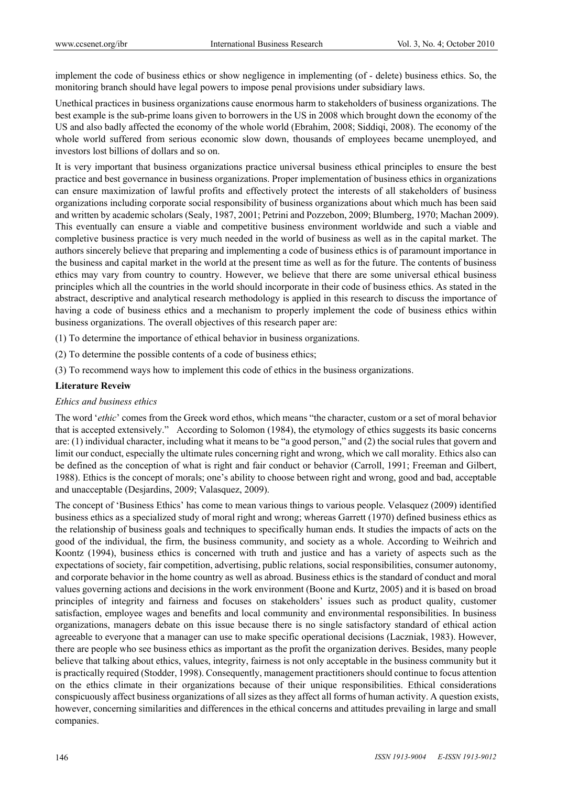implement the code of business ethics or show negligence in implementing (of - delete) business ethics. So, the monitoring branch should have legal powers to impose penal provisions under subsidiary laws.

Unethical practices in business organizations cause enormous harm to stakeholders of business organizations. The best example is the sub-prime loans given to borrowers in the US in 2008 which brought down the economy of the US and also badly affected the economy of the whole world (Ebrahim, 2008; Siddiqi, 2008). The economy of the whole world suffered from serious economic slow down, thousands of employees became unemployed, and investors lost billions of dollars and so on.

It is very important that business organizations practice universal business ethical principles to ensure the best practice and best governance in business organizations. Proper implementation of business ethics in organizations can ensure maximization of lawful profits and effectively protect the interests of all stakeholders of business organizations including corporate social responsibility of business organizations about which much has been said and written by academic scholars (Sealy, 1987, 2001; Petrini and Pozzebon, 2009; Blumberg, 1970; Machan 2009). This eventually can ensure a viable and competitive business environment worldwide and such a viable and completive business practice is very much needed in the world of business as well as in the capital market. The authors sincerely believe that preparing and implementing a code of business ethics is of paramount importance in the business and capital market in the world at the present time as well as for the future. The contents of business ethics may vary from country to country. However, we believe that there are some universal ethical business principles which all the countries in the world should incorporate in their code of business ethics. As stated in the abstract, descriptive and analytical research methodology is applied in this research to discuss the importance of having a code of business ethics and a mechanism to properly implement the code of business ethics within business organizations. The overall objectives of this research paper are:

(1) To determine the importance of ethical behavior in business organizations.

- (2) To determine the possible contents of a code of business ethics;
- (3) To recommend ways how to implement this code of ethics in the business organizations.

#### **Literature Reveiw**

#### *Ethics and business ethics*

The word '*ethic*' comes from the Greek word ethos, which means "the character, custom or a set of moral behavior that is accepted extensively." According to Solomon (1984), the etymology of ethics suggests its basic concerns are: (1) individual character, including what it means to be "a good person," and (2) the social rules that govern and limit our conduct, especially the ultimate rules concerning right and wrong, which we call morality. Ethics also can be defined as the conception of what is right and fair conduct or behavior (Carroll, 1991; Freeman and Gilbert, 1988). Ethics is the concept of morals; one's ability to choose between right and wrong, good and bad, acceptable and unacceptable (Desjardins, 2009; Valasquez, 2009).

The concept of 'Business Ethics' has come to mean various things to various people. Velasquez (2009) identified business ethics as a specialized study of moral right and wrong; whereas Garrett (1970) defined business ethics as the relationship of business goals and techniques to specifically human ends. It studies the impacts of acts on the good of the individual, the firm, the business community, and society as a whole. According to Weihrich and Koontz (1994), business ethics is concerned with truth and justice and has a variety of aspects such as the expectations of society, fair competition, advertising, public relations, social responsibilities, consumer autonomy, and corporate behavior in the home country as well as abroad. Business ethics is the standard of conduct and moral values governing actions and decisions in the work environment (Boone and Kurtz, 2005) and it is based on broad principles of integrity and fairness and focuses on stakeholders' issues such as product quality, customer satisfaction, employee wages and benefits and local community and environmental responsibilities. In business organizations, managers debate on this issue because there is no single satisfactory standard of ethical action agreeable to everyone that a manager can use to make specific operational decisions (Laczniak, 1983). However, there are people who see business ethics as important as the profit the organization derives. Besides, many people believe that talking about ethics, values, integrity, fairness is not only acceptable in the business community but it is practically required (Stodder, 1998). Consequently, management practitioners should continue to focus attention on the ethics climate in their organizations because of their unique responsibilities. Ethical considerations conspicuously affect business organizations of all sizes as they affect all forms of human activity. A question exists, however, concerning similarities and differences in the ethical concerns and attitudes prevailing in large and small companies.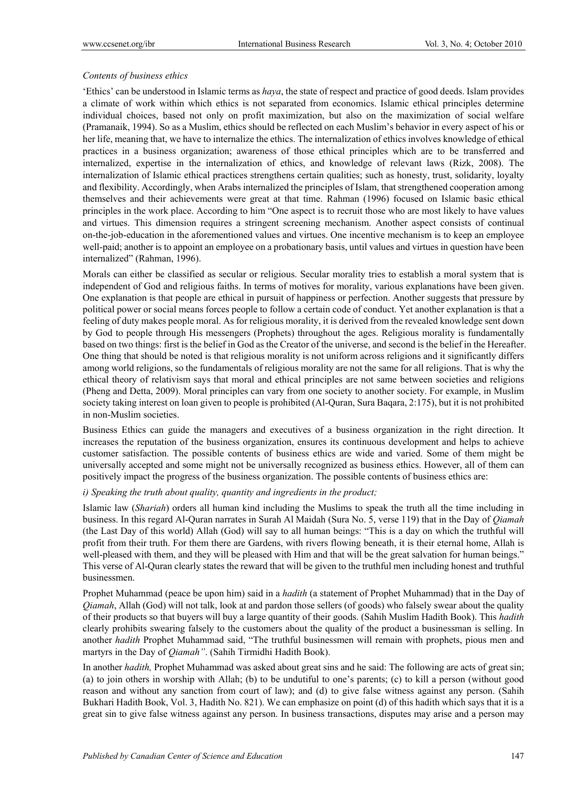## *Contents of business ethics*

'Ethics' can be understood in Islamic terms as *haya*, the state of respect and practice of good deeds. Islam provides a climate of work within which ethics is not separated from economics. Islamic ethical principles determine individual choices, based not only on profit maximization, but also on the maximization of social welfare (Pramanaik, 1994). So as a Muslim, ethics should be reflected on each Muslim's behavior in every aspect of his or her life, meaning that, we have to internalize the ethics. The internalization of ethics involves knowledge of ethical practices in a business organization; awareness of those ethical principles which are to be transferred and internalized, expertise in the internalization of ethics, and knowledge of relevant laws (Rizk, 2008). The internalization of Islamic ethical practices strengthens certain qualities; such as honesty, trust, solidarity, loyalty and flexibility. Accordingly, when Arabs internalized the principles of Islam, that strengthened cooperation among themselves and their achievements were great at that time. Rahman (1996) focused on Islamic basic ethical principles in the work place. According to him "One aspect is to recruit those who are most likely to have values and virtues. This dimension requires a stringent screening mechanism. Another aspect consists of continual on-the-job-education in the aforementioned values and virtues. One incentive mechanism is to keep an employee well-paid; another is to appoint an employee on a probationary basis, until values and virtues in question have been internalized" (Rahman, 1996).

Morals can either be classified as secular or religious. Secular morality tries to establish a moral system that is independent of God and religious faiths. In terms of motives for morality, various explanations have been given. One explanation is that people are ethical in pursuit of happiness or perfection. Another suggests that pressure by political power or social means forces people to follow a certain code of conduct. Yet another explanation is that a feeling of duty makes people moral. As for religious morality, it is derived from the revealed knowledge sent down by God to people through His messengers (Prophets) throughout the ages. Religious morality is fundamentally based on two things: first is the belief in God as the Creator of the universe, and second is the belief in the Hereafter. One thing that should be noted is that religious morality is not uniform across religions and it significantly differs among world religions, so the fundamentals of religious morality are not the same for all religions. That is why the ethical theory of relativism says that moral and ethical principles are not same between societies and religions (Pheng and Detta, 2009). Moral principles can vary from one society to another society. For example, in Muslim society taking interest on loan given to people is prohibited (Al-Quran, Sura Baqara, 2:175), but it is not prohibited in non-Muslim societies.

Business Ethics can guide the managers and executives of a business organization in the right direction. It increases the reputation of the business organization, ensures its continuous development and helps to achieve customer satisfaction. The possible contents of business ethics are wide and varied. Some of them might be universally accepted and some might not be universally recognized as business ethics. However, all of them can positively impact the progress of the business organization. The possible contents of business ethics are:

# *i) Speaking the truth about quality, quantity and ingredients in the product;*

Islamic law (*Shariah*) orders all human kind including the Muslims to speak the truth all the time including in business. In this regard Al-Quran narrates in Surah Al Maidah (Sura No. 5, verse 119) that in the Day of *Qiamah*  (the Last Day of this world) Allah (God) will say to all human beings: "This is a day on which the truthful will profit from their truth. For them there are Gardens, with rivers flowing beneath, it is their eternal home, Allah is well-pleased with them, and they will be pleased with Him and that will be the great salvation for human beings." This verse of Al-Quran clearly states the reward that will be given to the truthful men including honest and truthful businessmen.

Prophet Muhammad (peace be upon him) said in a *hadith* (a statement of Prophet Muhammad) that in the Day of *Qiamah*, Allah (God) will not talk, look at and pardon those sellers (of goods) who falsely swear about the quality of their products so that buyers will buy a large quantity of their goods. (Sahih Muslim Hadith Book). This *hadith* clearly prohibits swearing falsely to the customers about the quality of the product a businessman is selling. In another *hadith* Prophet Muhammad said, "The truthful businessmen will remain with prophets, pious men and martyrs in the Day of *Qiamah"*. (Sahih Tirmidhi Hadith Book).

In another *hadith,* Prophet Muhammad was asked about great sins and he said: The following are acts of great sin; (a) to join others in worship with Allah; (b) to be undutiful to one's parents; (c) to kill a person (without good reason and without any sanction from court of law); and (d) to give false witness against any person. (Sahih Bukhari Hadith Book, Vol. 3, Hadith No. 821). We can emphasize on point (d) of this hadith which says that it is a great sin to give false witness against any person. In business transactions, disputes may arise and a person may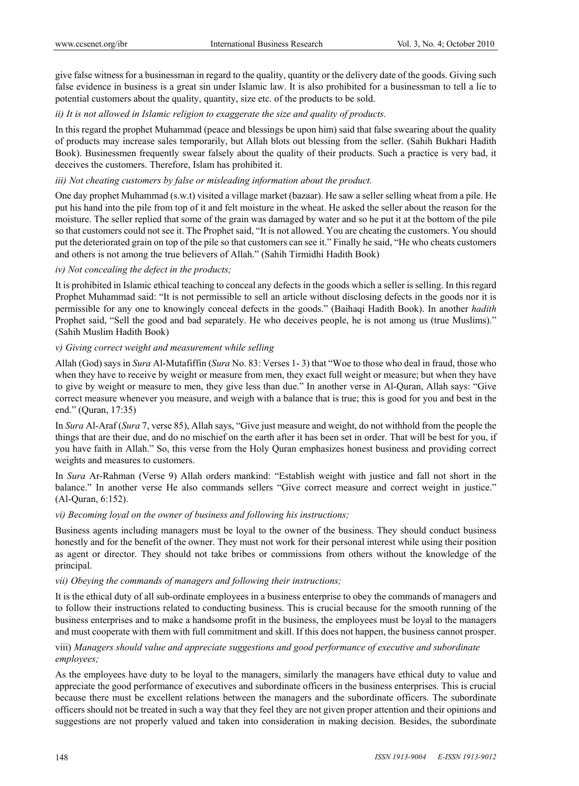give false witness for a businessman in regard to the quality, quantity or the delivery date of the goods. Giving such false evidence in business is a great sin under Islamic law. It is also prohibited for a businessman to tell a lie to potential customers about the quality, quantity, size etc. of the products to be sold.

## *ii) It is not allowed in Islamic religion to exaggerate the size and quality of products.*

In this regard the prophet Muhammad (peace and blessings be upon him) said that false swearing about the quality of products may increase sales temporarily, but Allah blots out blessing from the seller. (Sahih Bukhari Hadith Book). Businessmen frequently swear falsely about the quality of their products. Such a practice is very bad, it deceives the customers. Therefore, Islam has prohibited it.

## *iii) Not cheating customers by false or misleading information about the product.*

One day prophet Muhammad (s.w.t) visited a village market (bazaar). He saw a seller selling wheat from a pile. He put his hand into the pile from top of it and felt moisture in the wheat. He asked the seller about the reason for the moisture. The seller replied that some of the grain was damaged by water and so he put it at the bottom of the pile so that customers could not see it. The Prophet said, "It is not allowed. You are cheating the customers. You should put the deteriorated grain on top of the pile so that customers can see it." Finally he said, "He who cheats customers and others is not among the true believers of Allah." (Sahih Tirmidhi Hadith Book)

## *iv) Not concealing the defect in the products;*

It is prohibited in Islamic ethical teaching to conceal any defects in the goods which a seller is selling. In this regard Prophet Muhammad said: "It is not permissible to sell an article without disclosing defects in the goods nor it is permissible for any one to knowingly conceal defects in the goods." (Baihaqi Hadith Book). In another *hadith* Prophet said, "Sell the good and bad separately. He who deceives people, he is not among us (true Muslims)." (Sahih Muslim Hadith Book)

## *v) Giving correct weight and measurement while selling*

Allah (God) says in *Sura* Al-Mutafiffin (*Sura* No. 83: Verses 1- 3) that "Woe to those who deal in fraud, those who when they have to receive by weight or measure from men, they exact full weight or measure; but when they have to give by weight or measure to men, they give less than due." In another verse in Al-Quran, Allah says: "Give correct measure whenever you measure, and weigh with a balance that is true; this is good for you and best in the end." (Quran, 17:35)

In *Sura* Al-Araf (*Sura* 7, verse 85), Allah says, "Give just measure and weight, do not withhold from the people the things that are their due, and do no mischief on the earth after it has been set in order. That will be best for you, if you have faith in Allah." So, this verse from the Holy Quran emphasizes honest business and providing correct weights and measures to customers.

In *Sura* Ar-Rahman (Verse 9) Allah orders mankind: "Establish weight with justice and fall not short in the balance." In another verse He also commands sellers "Give correct measure and correct weight in justice." (Al-Quran, 6:152).

# *vi) Becoming loyal on the owner of business and following his instructions;*

Business agents including managers must be loyal to the owner of the business. They should conduct business honestly and for the benefit of the owner. They must not work for their personal interest while using their position as agent or director. They should not take bribes or commissions from others without the knowledge of the principal.

#### *vii) Obeying the commands of managers and following their instructions;*

It is the ethical duty of all sub-ordinate employees in a business enterprise to obey the commands of managers and to follow their instructions related to conducting business. This is crucial because for the smooth running of the business enterprises and to make a handsome profit in the business, the employees must be loyal to the managers and must cooperate with them with full commitment and skill. If this does not happen, the business cannot prosper.

# viii) *Managers should value and appreciate suggestions and good performance of executive and subordinate employees;*

As the employees have duty to be loyal to the managers, similarly the managers have ethical duty to value and appreciate the good performance of executives and subordinate officers in the business enterprises. This is crucial because there must be excellent relations between the managers and the subordinate officers. The subordinate officers should not be treated in such a way that they feel they are not given proper attention and their opinions and suggestions are not properly valued and taken into consideration in making decision. Besides, the subordinate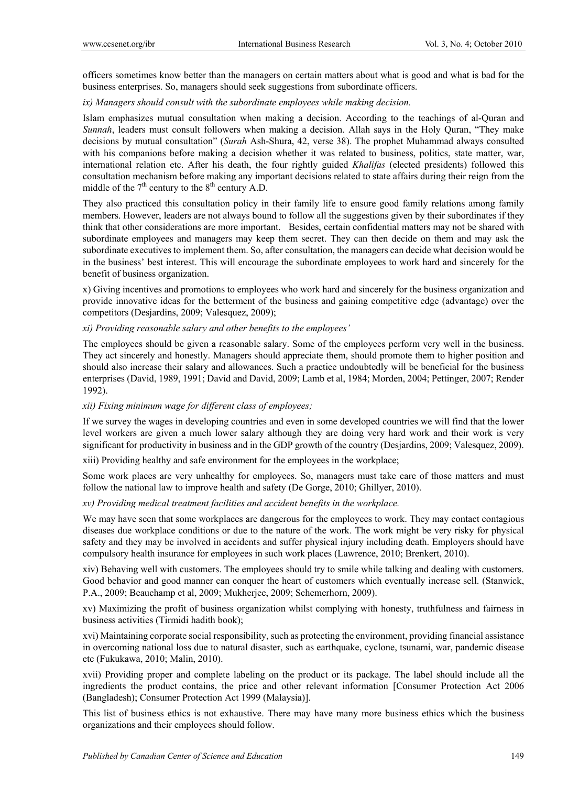officers sometimes know better than the managers on certain matters about what is good and what is bad for the business enterprises. So, managers should seek suggestions from subordinate officers.

## ix) Managers should consult with the subordinate employees while making decision.

Islam emphasizes mutual consultation when making a decision. According to the teachings of al-Quran and *Sunnah*, leaders must consult followers when making a decision. Allah says in the Holy Quran, "They make decisions by mutual consultation" (*Surah* Ash-Shura, 42, verse 38). The prophet Muhammad always consulted with his companions before making a decision whether it was related to business, politics, state matter, war, international relation etc. After his death, the four rightly guided *Khalifas* (elected presidents) followed this consultation mechanism before making any important decisions related to state affairs during their reign from the middle of the  $7<sup>th</sup>$  century to the  $8<sup>th</sup>$  century A.D.

They also practiced this consultation policy in their family life to ensure good family relations among family members. However, leaders are not always bound to follow all the suggestions given by their subordinates if they think that other considerations are more important. Besides, certain confidential matters may not be shared with subordinate employees and managers may keep them secret. They can then decide on them and may ask the subordinate executives to implement them. So, after consultation, the managers can decide what decision would be in the business' best interest. This will encourage the subordinate employees to work hard and sincerely for the benefit of business organization.

x) Giving incentives and promotions to employees who work hard and sincerely for the business organization and provide innovative ideas for the betterment of the business and gaining competitive edge (advantage) over the competitors (Desjardins, 2009; Valesquez, 2009);

## *xi) Providing reasonable salary and other benefits to the employees'*

The employees should be given a reasonable salary. Some of the employees perform very well in the business. They act sincerely and honestly. Managers should appreciate them, should promote them to higher position and should also increase their salary and allowances. Such a practice undoubtedly will be beneficial for the business enterprises (David, 1989, 1991; David and David, 2009; Lamb et al, 1984; Morden, 2004; Pettinger, 2007; Render 1992).

# *xii) Fixing minimum wage for different class of employees;*

If we survey the wages in developing countries and even in some developed countries we will find that the lower level workers are given a much lower salary although they are doing very hard work and their work is very significant for productivity in business and in the GDP growth of the country (Desjardins, 2009; Valesquez, 2009).

xiii) Providing healthy and safe environment for the employees in the workplace;

Some work places are very unhealthy for employees. So, managers must take care of those matters and must follow the national law to improve health and safety (De Gorge, 2010; Ghillyer, 2010).

#### *xv) Providing medical treatment facilities and accident benefits in the workplace.*

We may have seen that some workplaces are dangerous for the employees to work. They may contact contagious diseases due workplace conditions or due to the nature of the work. The work might be very risky for physical safety and they may be involved in accidents and suffer physical injury including death. Employers should have compulsory health insurance for employees in such work places (Lawrence, 2010; Brenkert, 2010).

xiv) Behaving well with customers. The employees should try to smile while talking and dealing with customers. Good behavior and good manner can conquer the heart of customers which eventually increase sell. (Stanwick, P.A., 2009; Beauchamp et al, 2009; Mukherjee, 2009; Schemerhorn, 2009).

xv) Maximizing the profit of business organization whilst complying with honesty, truthfulness and fairness in business activities (Tirmidi hadith book);

xvi) Maintaining corporate social responsibility, such as protecting the environment, providing financial assistance in overcoming national loss due to natural disaster, such as earthquake, cyclone, tsunami, war, pandemic disease etc (Fukukawa, 2010; Malin, 2010).

xvii) Providing proper and complete labeling on the product or its package. The label should include all the ingredients the product contains, the price and other relevant information [Consumer Protection Act 2006 (Bangladesh); Consumer Protection Act 1999 (Malaysia)].

This list of business ethics is not exhaustive. There may have many more business ethics which the business organizations and their employees should follow.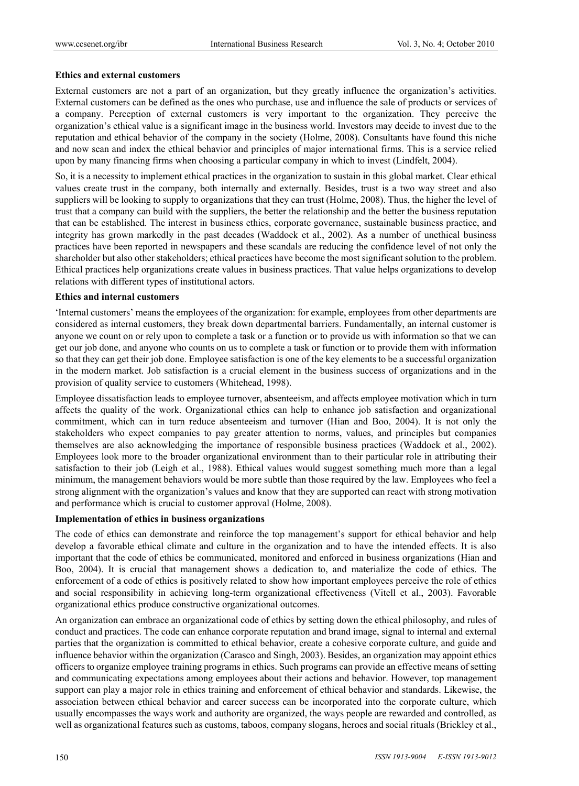#### **Ethics and external customers**

External customers are not a part of an organization, but they greatly influence the organization's activities. External customers can be defined as the ones who purchase, use and influence the sale of products or services of a company. Perception of external customers is very important to the organization. They perceive the organization's ethical value is a significant image in the business world. Investors may decide to invest due to the reputation and ethical behavior of the company in the society (Holme, 2008). Consultants have found this niche and now scan and index the ethical behavior and principles of major international firms. This is a service relied upon by many financing firms when choosing a particular company in which to invest (Lindfelt, 2004).

So, it is a necessity to implement ethical practices in the organization to sustain in this global market. Clear ethical values create trust in the company, both internally and externally. Besides, trust is a two way street and also suppliers will be looking to supply to organizations that they can trust (Holme, 2008). Thus, the higher the level of trust that a company can build with the suppliers, the better the relationship and the better the business reputation that can be established. The interest in business ethics, corporate governance, sustainable business practice, and integrity has grown markedly in the past decades (Waddock et al., 2002). As a number of unethical business practices have been reported in newspapers and these scandals are reducing the confidence level of not only the shareholder but also other stakeholders; ethical practices have become the most significant solution to the problem. Ethical practices help organizations create values in business practices. That value helps organizations to develop relations with different types of institutional actors.

#### **Ethics and internal customers**

'Internal customers' means the employees of the organization: for example, employees from other departments are considered as internal customers, they break down departmental barriers. Fundamentally, an internal customer is anyone we count on or rely upon to complete a task or a function or to provide us with information so that we can get our job done, and anyone who counts on us to complete a task or function or to provide them with information so that they can get their job done. Employee satisfaction is one of the key elements to be a successful organization in the modern market. Job satisfaction is a crucial element in the business success of organizations and in the provision of quality service to customers (Whitehead, 1998).

Employee dissatisfaction leads to employee turnover, absenteeism, and affects employee motivation which in turn affects the quality of the work. Organizational ethics can help to enhance job satisfaction and organizational commitment, which can in turn reduce absenteeism and turnover (Hian and Boo, 2004). It is not only the stakeholders who expect companies to pay greater attention to norms, values, and principles but companies themselves are also acknowledging the importance of responsible business practices (Waddock et al., 2002). Employees look more to the broader organizational environment than to their particular role in attributing their satisfaction to their job (Leigh et al., 1988). Ethical values would suggest something much more than a legal minimum, the management behaviors would be more subtle than those required by the law. Employees who feel a strong alignment with the organization's values and know that they are supported can react with strong motivation and performance which is crucial to customer approval (Holme, 2008).

#### **Implementation of ethics in business organizations**

The code of ethics can demonstrate and reinforce the top management's support for ethical behavior and help develop a favorable ethical climate and culture in the organization and to have the intended effects. It is also important that the code of ethics be communicated, monitored and enforced in business organizations (Hian and Boo, 2004). It is crucial that management shows a dedication to, and materialize the code of ethics. The enforcement of a code of ethics is positively related to show how important employees perceive the role of ethics and social responsibility in achieving long-term organizational effectiveness (Vitell et al., 2003). Favorable organizational ethics produce constructive organizational outcomes.

An organization can embrace an organizational code of ethics by setting down the ethical philosophy, and rules of conduct and practices. The code can enhance corporate reputation and brand image, signal to internal and external parties that the organization is committed to ethical behavior, create a cohesive corporate culture, and guide and influence behavior within the organization (Carasco and Singh, 2003). Besides, an organization may appoint ethics officers to organize employee training programs in ethics. Such programs can provide an effective means of setting and communicating expectations among employees about their actions and behavior. However, top management support can play a major role in ethics training and enforcement of ethical behavior and standards. Likewise, the association between ethical behavior and career success can be incorporated into the corporate culture, which usually encompasses the ways work and authority are organized, the ways people are rewarded and controlled, as well as organizational features such as customs, taboos, company slogans, heroes and social rituals (Brickley et al.,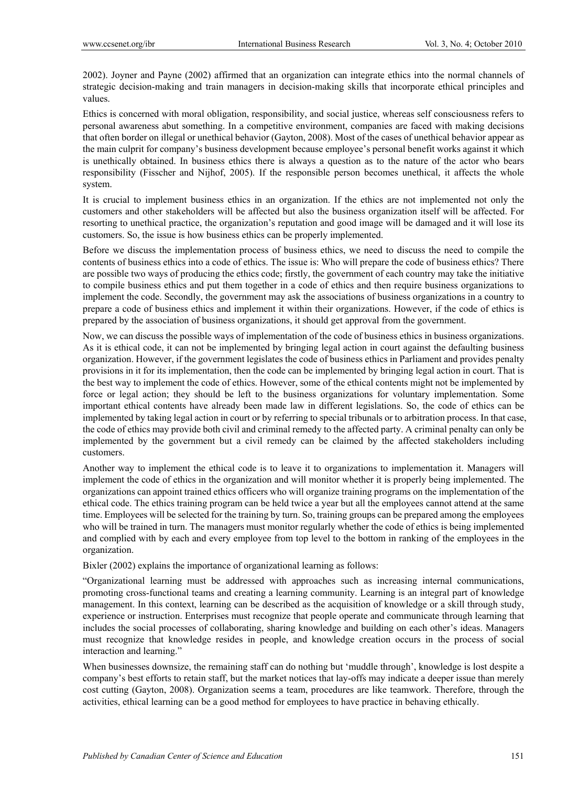2002). Joyner and Payne (2002) affirmed that an organization can integrate ethics into the normal channels of strategic decision-making and train managers in decision-making skills that incorporate ethical principles and values.

Ethics is concerned with moral obligation, responsibility, and social justice, whereas self consciousness refers to personal awareness abut something. In a competitive environment, companies are faced with making decisions that often border on illegal or unethical behavior (Gayton, 2008). Most of the cases of unethical behavior appear as the main culprit for company's business development because employee's personal benefit works against it which is unethically obtained. In business ethics there is always a question as to the nature of the actor who bears responsibility (Fisscher and Nijhof, 2005). If the responsible person becomes unethical, it affects the whole system.

It is crucial to implement business ethics in an organization. If the ethics are not implemented not only the customers and other stakeholders will be affected but also the business organization itself will be affected. For resorting to unethical practice, the organization's reputation and good image will be damaged and it will lose its customers. So, the issue is how business ethics can be properly implemented.

Before we discuss the implementation process of business ethics, we need to discuss the need to compile the contents of business ethics into a code of ethics. The issue is: Who will prepare the code of business ethics? There are possible two ways of producing the ethics code; firstly, the government of each country may take the initiative to compile business ethics and put them together in a code of ethics and then require business organizations to implement the code. Secondly, the government may ask the associations of business organizations in a country to prepare a code of business ethics and implement it within their organizations. However, if the code of ethics is prepared by the association of business organizations, it should get approval from the government.

Now, we can discuss the possible ways of implementation of the code of business ethics in business organizations. As it is ethical code, it can not be implemented by bringing legal action in court against the defaulting business organization. However, if the government legislates the code of business ethics in Parliament and provides penalty provisions in it for its implementation, then the code can be implemented by bringing legal action in court. That is the best way to implement the code of ethics. However, some of the ethical contents might not be implemented by force or legal action; they should be left to the business organizations for voluntary implementation. Some important ethical contents have already been made law in different legislations. So, the code of ethics can be implemented by taking legal action in court or by referring to special tribunals or to arbitration process. In that case, the code of ethics may provide both civil and criminal remedy to the affected party. A criminal penalty can only be implemented by the government but a civil remedy can be claimed by the affected stakeholders including customers.

Another way to implement the ethical code is to leave it to organizations to implementation it. Managers will implement the code of ethics in the organization and will monitor whether it is properly being implemented. The organizations can appoint trained ethics officers who will organize training programs on the implementation of the ethical code. The ethics training program can be held twice a year but all the employees cannot attend at the same time. Employees will be selected for the training by turn. So, training groups can be prepared among the employees who will be trained in turn. The managers must monitor regularly whether the code of ethics is being implemented and complied with by each and every employee from top level to the bottom in ranking of the employees in the organization.

Bixler (2002) explains the importance of organizational learning as follows:

"Organizational learning must be addressed with approaches such as increasing internal communications, promoting cross-functional teams and creating a learning community. Learning is an integral part of knowledge management. In this context, learning can be described as the acquisition of knowledge or a skill through study, experience or instruction. Enterprises must recognize that people operate and communicate through learning that includes the social processes of collaborating, sharing knowledge and building on each other's ideas. Managers must recognize that knowledge resides in people, and knowledge creation occurs in the process of social interaction and learning."

When businesses downsize, the remaining staff can do nothing but 'muddle through', knowledge is lost despite a company's best efforts to retain staff, but the market notices that lay-offs may indicate a deeper issue than merely cost cutting (Gayton, 2008). Organization seems a team, procedures are like teamwork. Therefore, through the activities, ethical learning can be a good method for employees to have practice in behaving ethically.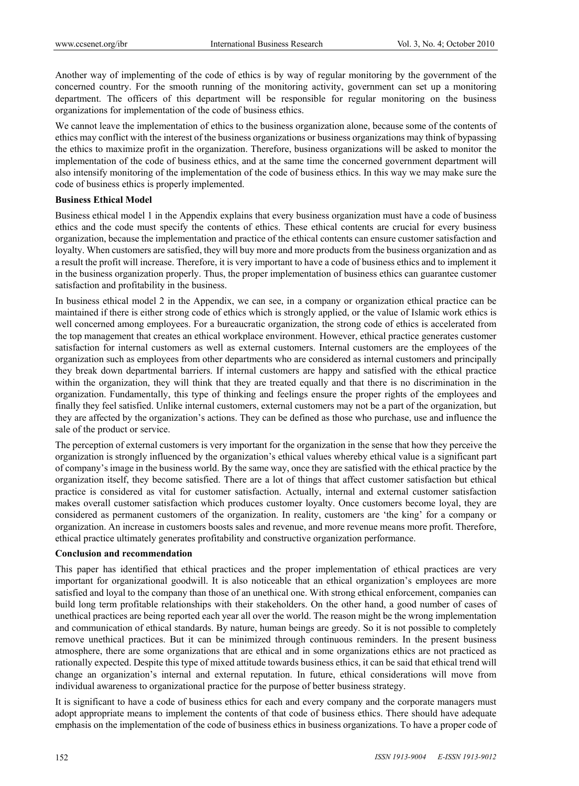Another way of implementing of the code of ethics is by way of regular monitoring by the government of the concerned country. For the smooth running of the monitoring activity, government can set up a monitoring department. The officers of this department will be responsible for regular monitoring on the business organizations for implementation of the code of business ethics.

We cannot leave the implementation of ethics to the business organization alone, because some of the contents of ethics may conflict with the interest of the business organizations or business organizations may think of bypassing the ethics to maximize profit in the organization. Therefore, business organizations will be asked to monitor the implementation of the code of business ethics, and at the same time the concerned government department will also intensify monitoring of the implementation of the code of business ethics. In this way we may make sure the code of business ethics is properly implemented.

### **Business Ethical Model**

Business ethical model 1 in the Appendix explains that every business organization must have a code of business ethics and the code must specify the contents of ethics. These ethical contents are crucial for every business organization, because the implementation and practice of the ethical contents can ensure customer satisfaction and loyalty. When customers are satisfied, they will buy more and more products from the business organization and as a result the profit will increase. Therefore, it is very important to have a code of business ethics and to implement it in the business organization properly. Thus, the proper implementation of business ethics can guarantee customer satisfaction and profitability in the business.

In business ethical model 2 in the Appendix, we can see, in a company or organization ethical practice can be maintained if there is either strong code of ethics which is strongly applied, or the value of Islamic work ethics is well concerned among employees. For a bureaucratic organization, the strong code of ethics is accelerated from the top management that creates an ethical workplace environment. However, ethical practice generates customer satisfaction for internal customers as well as external customers. Internal customers are the employees of the organization such as employees from other departments who are considered as internal customers and principally they break down departmental barriers. If internal customers are happy and satisfied with the ethical practice within the organization, they will think that they are treated equally and that there is no discrimination in the organization. Fundamentally, this type of thinking and feelings ensure the proper rights of the employees and finally they feel satisfied. Unlike internal customers, external customers may not be a part of the organization, but they are affected by the organization's actions. They can be defined as those who purchase, use and influence the sale of the product or service.

The perception of external customers is very important for the organization in the sense that how they perceive the organization is strongly influenced by the organization's ethical values whereby ethical value is a significant part of company's image in the business world. By the same way, once they are satisfied with the ethical practice by the organization itself, they become satisfied. There are a lot of things that affect customer satisfaction but ethical practice is considered as vital for customer satisfaction. Actually, internal and external customer satisfaction makes overall customer satisfaction which produces customer loyalty. Once customers become loyal, they are considered as permanent customers of the organization. In reality, customers are 'the king' for a company or organization. An increase in customers boosts sales and revenue, and more revenue means more profit. Therefore, ethical practice ultimately generates profitability and constructive organization performance.

#### **Conclusion and recommendation**

This paper has identified that ethical practices and the proper implementation of ethical practices are very important for organizational goodwill. It is also noticeable that an ethical organization's employees are more satisfied and loyal to the company than those of an unethical one. With strong ethical enforcement, companies can build long term profitable relationships with their stakeholders. On the other hand, a good number of cases of unethical practices are being reported each year all over the world. The reason might be the wrong implementation and communication of ethical standards. By nature, human beings are greedy. So it is not possible to completely remove unethical practices. But it can be minimized through continuous reminders. In the present business atmosphere, there are some organizations that are ethical and in some organizations ethics are not practiced as rationally expected. Despite this type of mixed attitude towards business ethics, it can be said that ethical trend will change an organization's internal and external reputation. In future, ethical considerations will move from individual awareness to organizational practice for the purpose of better business strategy.

It is significant to have a code of business ethics for each and every company and the corporate managers must adopt appropriate means to implement the contents of that code of business ethics. There should have adequate emphasis on the implementation of the code of business ethics in business organizations. To have a proper code of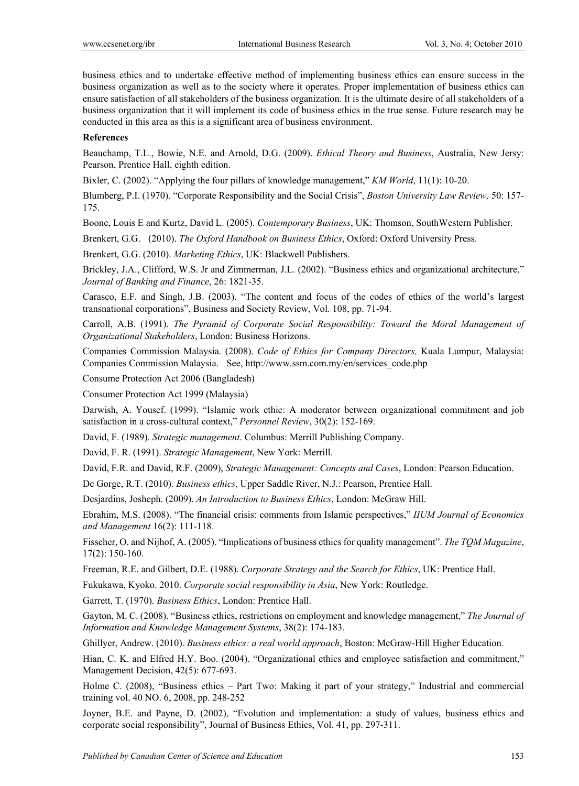business ethics and to undertake effective method of implementing business ethics can ensure success in the business organization as well as to the society where it operates. Proper implementation of business ethics can ensure satisfaction of all stakeholders of the business organization. It is the ultimate desire of all stakeholders of a business organization that it will implement its code of business ethics in the true sense. Future research may be conducted in this area as this is a significant area of business environment.

#### **References**

Beauchamp, T.L., Bowie, N.E. and Arnold, D.G. (2009). *Ethical Theory and Business*, Australia, New Jersy: Pearson, Prentice Hall, eighth edition.

Bixler, C. (2002). "Applying the four pillars of knowledge management," *KM World*, 11(1): 10-20.

Blumberg, P.I. (1970). "Corporate Responsibility and the Social Crisis", *Boston University Law Review,* 50: 157- 175.

Boone, Louis E and Kurtz, David L. (2005). *Contemporary Business*, UK: Thomson, SouthWestern Publisher.

Brenkert, G.G. (2010). *The Oxford Handbook on Business Ethics*, Oxford: Oxford University Press.

Brenkert, G.G. (2010). *Marketing Ethics*, UK: Blackwell Publishers.

Brickley, J.A., Clifford, W.S. Jr and Zimmerman, J.L. (2002). "Business ethics and organizational architecture," *Journal of Banking and Finance*, 26: 1821-35.

Carasco, E.F. and Singh, J.B. (2003). "The content and focus of the codes of ethics of the world's largest transnational corporations", Business and Society Review, Vol. 108, pp. 71-94.

Carroll, A.B. (1991). *The Pyramid of Corporate Social Responsibility: Toward the Moral Management of Organizational Stakeholders*, London: Business Horizons.

Companies Commission Malaysia. (2008). *Code of Ethics for Company Directors,* Kuala Lumpur, Malaysia: Companies Commission Malaysia. See, http://www.ssm.com.my/en/services\_code.php

Consume Protection Act 2006 (Bangladesh)

Consumer Protection Act 1999 (Malaysia)

Darwish, A. Yousef. (1999). "Islamic work ethic: A moderator between organizational commitment and job satisfaction in a cross-cultural context," *Personnel Review*, 30(2): 152-169.

David, F. (1989). *Strategic management*. Columbus: Merrill Publishing Company.

David, F. R. (1991). *Strategic Management*, New York: Merrill.

David, F.R. and David, R.F. (2009), *Strategic Management: Concepts and Cases*, London: Pearson Education.

De Gorge, R.T. (2010). *Business ethics*, Upper Saddle River, N.J.: Pearson, Prentice Hall.

Desjardins, Josheph. (2009). *An Introduction to Business Ethics*, London: McGraw Hill.

Ebrahim, M.S. (2008). "The financial crisis: comments from Islamic perspectives," *IIUM Journal of Economics and Management* 16(2): 111-118.

Fisscher, O. and Nijhof, A. (2005). "Implications of business ethics for quality management". *The TQM Magazine*, 17(2): 150-160.

Freeman, R.E. and Gilbert, D.E. (1988). *Corporate Strategy and the Search for Ethics*, UK: Prentice Hall.

Fukukawa, Kyoko. 2010. *Corporate social responsibility in Asia*, New York: Routledge.

Garrett, T. (1970). *Business Ethics*, London: Prentice Hall.

Gayton, M. C. (2008). "Business ethics, restrictions on employment and knowledge management," *The Journal of Information and Knowledge Management Systems*, 38(2): 174-183.

Ghillyer, Andrew. (2010). *Business ethics: a real world approach*, Boston: McGraw-Hill Higher Education.

Hian, C. K. and Elfred H.Y. Boo. (2004). "Organizational ethics and employee satisfaction and commitment," Management Decision, 42(5): 677-693.

Holme C. (2008), "Business ethics – Part Two: Making it part of your strategy," Industrial and commercial training vol. 40 NO. 6, 2008, pp. 248-252

Joyner, B.E. and Payne, D. (2002), "Evolution and implementation: a study of values, business ethics and corporate social responsibility", Journal of Business Ethics, Vol. 41, pp. 297-311.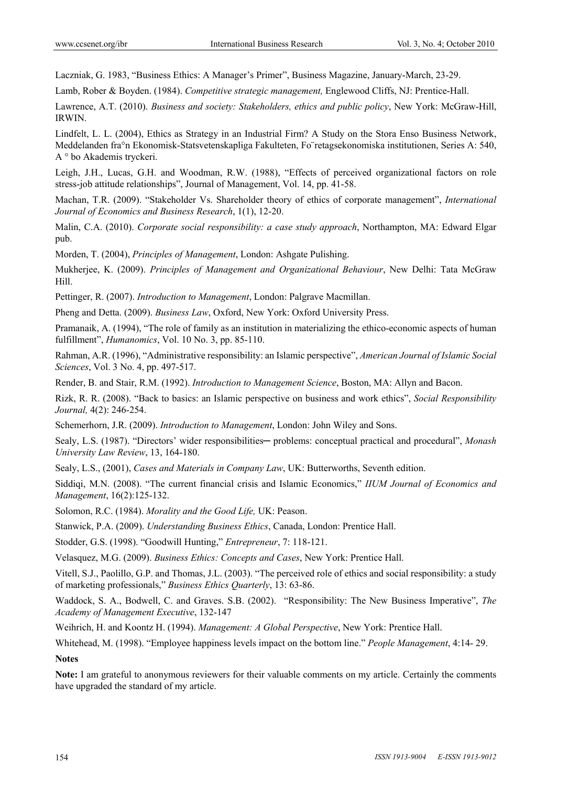Laczniak, G. 1983, "Business Ethics: A Manager's Primer", Business Magazine, January-March, 23-29.

Lamb, Rober & Boyden. (1984). *Competitive strategic management,* Englewood Cliffs, NJ: Prentice-Hall.

Lawrence, A.T. (2010). *Business and society: Stakeholders, ethics and public policy*, New York: McGraw-Hill, IRWIN.

Lindfelt, L. L. (2004), Ethics as Strategy in an Industrial Firm? A Study on the Stora Enso Business Network, Meddelanden fra°n Ekonomisk-Statsvetenskapliga Fakulteten, Fo¨retagsekonomiska institutionen, Series A: 540, A ° bo Akademis tryckeri.

Leigh, J.H., Lucas, G.H. and Woodman, R.W. (1988), "Effects of perceived organizational factors on role stress-job attitude relationships", Journal of Management, Vol. 14, pp. 41-58.

Machan, T.R. (2009). "Stakeholder Vs. Shareholder theory of ethics of corporate management", *International Journal of Economics and Business Research*, 1(1), 12-20.

Malin, C.A. (2010). *Corporate social responsibility: a case study approach*, Northampton, MA: Edward Elgar pub.

Morden, T. (2004), *Principles of Management*, London: Ashgate Pulishing.

Mukherjee, K. (2009). *Principles of Management and Organizational Behaviour*, New Delhi: Tata McGraw Hill.

Pettinger, R. (2007). *Introduction to Management*, London: Palgrave Macmillan.

Pheng and Detta. (2009). *Business Law*, Oxford, New York: Oxford University Press.

Pramanaik, A. (1994), "The role of family as an institution in materializing the ethico-economic aspects of human fulfillment", *Humanomics*, Vol. 10 No. 3, pp. 85-110.

Rahman, A.R. (1996), "Administrative responsibility: an Islamic perspective", *American Journal of Islamic Social Sciences*, Vol. 3 No. 4, pp. 497-517.

Render, B. and Stair, R.M. (1992). *Introduction to Management Science*, Boston, MA: Allyn and Bacon.

Rizk, R. R. (2008). "Back to basics: an Islamic perspective on business and work ethics", *Social Responsibility Journal,* 4(2): 246-254.

Schemerhorn, J.R. (2009). *Introduction to Management*, London: John Wiley and Sons.

Sealy, L.S. (1987). "Directors' wider responsibilities— problems: conceptual practical and procedural", *Monash University Law Review*, 13, 164-180.

Sealy, L.S., (2001), *Cases and Materials in Company Law*, UK: Butterworths, Seventh edition.

Siddiqi, M.N. (2008). "The current financial crisis and Islamic Economics," *IIUM Journal of Economics and Management*, 16(2):125-132.

Solomon, R.C. (1984). *Morality and the Good Life,* UK: Peason.

Stanwick, P.A. (2009). *Understanding Business Ethics*, Canada, London: Prentice Hall.

Stodder, G.S. (1998). "Goodwill Hunting," *Entrepreneur*, 7: 118-121.

Velasquez, M.G. (2009). *Business Ethics: Concepts and Cases*, New York: Prentice Hall.

Vitell, S.J., Paolillo, G.P. and Thomas, J.L. (2003). "The perceived role of ethics and social responsibility: a study of marketing professionals," *Business Ethics Quarterly*, 13: 63-86.

Waddock, S. A., Bodwell, C. and Graves. S.B. (2002). "Responsibility: The New Business Imperative", *The Academy of Management Executive*, 132-147

Weihrich, H. and Koontz H. (1994). *Management: A Global Perspective*, New York: Prentice Hall.

Whitehead, M. (1998). "Employee happiness levels impact on the bottom line." *People Management*, 4:14- 29.

**Notes** 

**Note:** I am grateful to anonymous reviewers for their valuable comments on my article. Certainly the comments have upgraded the standard of my article.